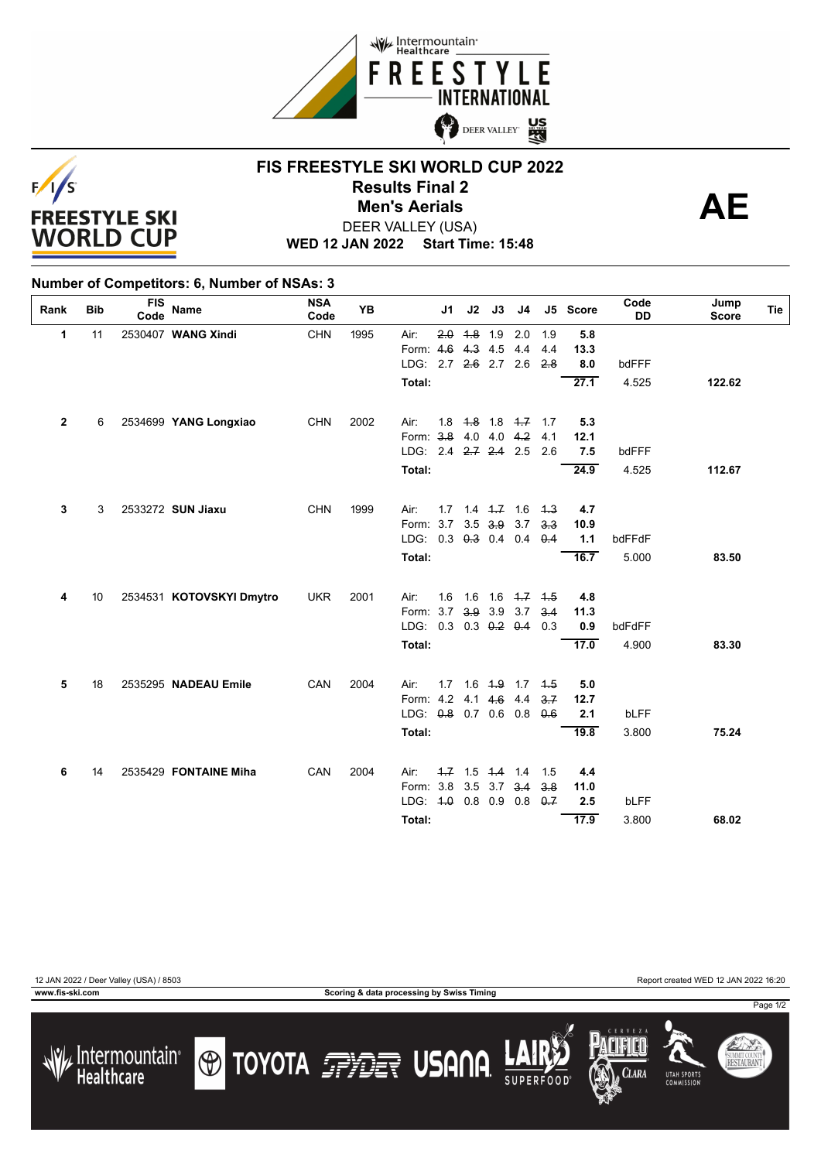



### **FIS FREESTYLE SKI WORLD CUP 2022 Results Final 2**<br> **Men's Aerials**<br>
FER VALLEY (USA) DEER VALLEY (USA) **Men's Aerials**



**WED 12 JAN 2022 Start Time: 15:48**

#### **Number of Competitors: 6, Number of NSAs: 3**

| Rank         | <b>Bib</b> | <b>FIS</b><br>Code | Name                     | <b>NSA</b><br>Code | <b>YB</b> |                       | J1  | J2        | J3                      | J4                      |             | J5 Score | Code<br><b>DD</b> | Jump<br><b>Score</b> | Tie |
|--------------|------------|--------------------|--------------------------|--------------------|-----------|-----------------------|-----|-----------|-------------------------|-------------------------|-------------|----------|-------------------|----------------------|-----|
| $\mathbf{1}$ | 11         |                    | 2530407 WANG Xindi       | <b>CHN</b>         | 1995      | Air:                  | 2.0 | $4.8$ 1.9 |                         | 2.0                     | 1.9         | 5.8      |                   |                      |     |
|              |            |                    |                          |                    |           | Form: 4.6 4.3 4.5     |     |           |                         | 4.4                     | 4.4         | 13.3     |                   |                      |     |
|              |            |                    |                          |                    |           | LDG: 2.7 2.6 2.7 2.6  |     |           |                         |                         | 2.8         | 8.0      | bdFFF             |                      |     |
|              |            |                    |                          |                    |           | Total:                |     |           |                         |                         |             | 27.1     | 4.525             | 122.62               |     |
| $\mathbf{2}$ | 6          |                    | 2534699 YANG Longxiao    | <b>CHN</b>         | 2002      | Air:                  |     |           |                         | 1.8 $4.8$ 1.8 $4.7$ 1.7 |             | 5.3      |                   |                      |     |
|              |            |                    |                          |                    |           | Form: 3-8 4.0 4.0 4.2 |     |           |                         |                         | 4.1         | 12.1     |                   |                      |     |
|              |            |                    |                          |                    |           | LDG: 2.4 2.7 2.4 2.5  |     |           |                         |                         | 2.6         | 7.5      | bdFFF             |                      |     |
|              |            |                    |                          |                    |           | Total:                |     |           |                         |                         |             | 24.9     | 4.525             | 112.67               |     |
| 3            | 3          |                    | 2533272 SUN Jiaxu        | <b>CHN</b>         | 1999      | Air:                  |     |           | $1.7$ $1.4$ $1.7$ $1.6$ |                         | 4.3         | 4.7      |                   |                      |     |
|              |            |                    |                          |                    |           | Form: 3.7 3.5 3.9 3.7 |     |           |                         |                         | 3.3         | 10.9     |                   |                      |     |
|              |            |                    |                          |                    |           | LDG: 0.3 0.3 0.4 0.4  |     |           |                         |                         | $\theta$ .4 | 1.1      | bdFFdF            |                      |     |
|              |            |                    |                          |                    |           | Total:                |     |           |                         |                         |             | 16.7     | 5.000             | 83.50                |     |
|              |            |                    |                          |                    |           |                       |     |           |                         |                         |             |          |                   |                      |     |
| 4            | 10         |                    | 2534531 KOTOVSKYI Dmytro | <b>UKR</b>         | 2001      | Air:                  | 1.6 |           |                         | 1.6 1.6 $4.7$           | 4.5         | 4.8      |                   |                      |     |
|              |            |                    |                          |                    |           | Form: 3.7 3.9 3.9 3.7 |     |           |                         |                         | 3.4         | 11.3     |                   |                      |     |
|              |            |                    |                          |                    |           | LDG: 0.3 0.3 0.2 0.4  |     |           |                         |                         | 0.3         | 0.9      | bdFdFF            |                      |     |
|              |            |                    |                          |                    |           | Total:                |     |           |                         |                         |             | 17.0     | 4.900             | 83.30                |     |
| 5            | 18         |                    | 2535295 NADEAU Emile     | CAN                | 2004      | Air:                  | 1.7 |           | $1.6$ $4.9$ $1.7$       |                         | 4.5         | 5.0      |                   |                      |     |
|              |            |                    |                          |                    |           | Form: 4.2             |     |           | $4.1 \t4.6$             | 4.4                     | 3.7         | 12.7     |                   |                      |     |
|              |            |                    |                          |                    |           | LDG: 0.8 0.7 0.6 0.8  |     |           |                         |                         | 0.6         | 2.1      | bLFF              |                      |     |
|              |            |                    |                          |                    |           | Total:                |     |           |                         |                         |             | 19.8     | 3.800             | 75.24                |     |
|              |            |                    |                          |                    |           |                       |     |           |                         |                         |             |          |                   |                      |     |
| 6            | 14         |                    | 2535429 FONTAINE Miha    | CAN                | 2004      | Air:                  |     |           | $1.7$ 1.5 1.4 1.4       |                         | 1.5         | 4.4      |                   |                      |     |
|              |            |                    |                          |                    |           | Form: 3.8 3.5 3.7 3.4 |     |           |                         |                         | 3.8         | 11.0     |                   |                      |     |
|              |            |                    |                          |                    |           | LDG: 4.0 0.8 0.9 0.8  |     |           |                         |                         | $\theta$ .7 | 2.5      | bLFF              |                      |     |
|              |            |                    |                          |                    |           | Total:                |     |           |                         |                         |             | 17.9     | 3.800             | 68.02                |     |